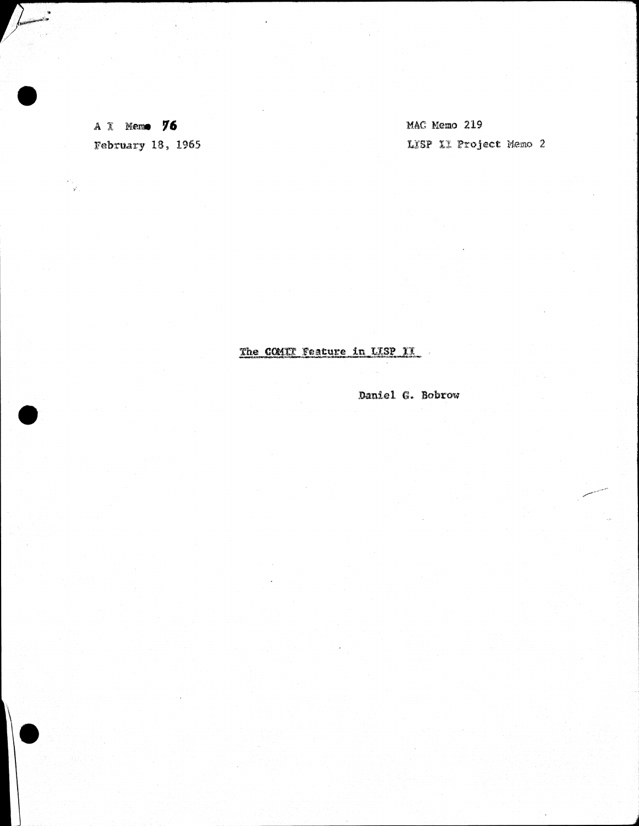A I Memo 76 February 18, 1965

 $\sqrt{2}$ 

i<br>Y

MAC Memo 219 LISP II Project Memo 2

## The COMIT Feature in LISP II

Daniel G. Bobrow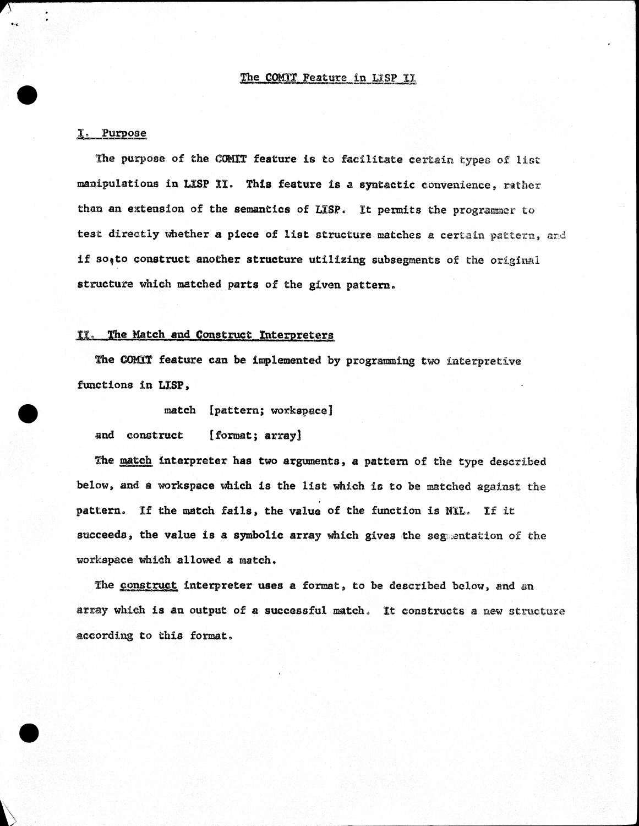### The COMIT Feature in LISP II

## I. Putpose

, .

The purpose of the COMIT feature is to facilitate certain types of list manipulations in LISP II. This feature is a syntactic convenience, rather than an extension of the semantics of LISP. It permits the programmer to test directly whether a piece of list structure matches a certain pattern, and if so<sub>s</sub>to construct another structure utilizing subsegments of the original structure which matched parts of the given pattern.

## II. The Hatch and Construct Interpreters

The COMIT feature can be implemented by programming two interpretive functions in LISP.

match [pattern; workspace]

and construct [format; array]

The match interpreter has two arguments, a pattern of the type described below, and a workspace which is the list which 10 to be matched against the pattern. If the match fails, the value of the function is NIL. If it succeeds, the value is a symbolic array which gives the segmentation of the workspace which allowed a match.

The construct interpreter uses a format, to be described below, and an array which is an output of a successful match. It constructs a new structure according to this format.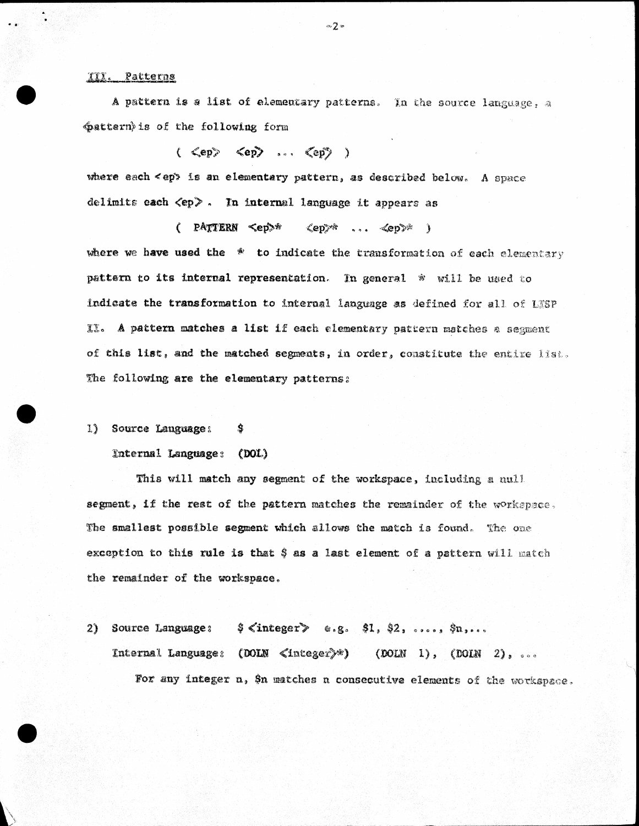#### Patterns  $xx.$

A pattern is a list of elementary patterns. In the source language, a mattern is of the following form

 $(\langle \text{Cep} \rangle, \langle \text{Cep} \rangle, \ldots, \langle \text{Cep} \rangle)$ 

where each <ep> is an elementary pattern, as described below. A space delimits each <ep>. In internal language it appears as

 $($  PATTERN  $\leq$ ep>\*  $\langle ep \rangle^*$  ...  $\langle ep \rangle^*$  ) where we have used the  $*$  to indicate the transformation of each elementary pattern to its internal representation. In general \* will be used to indicate the transformation to internal language as defined for all of LESP II. A pattern matches a list if each elementary pattern matches a segment of this list, and the matched segments, in order, constitute the entire list. The following are the elementary patterns:

1) Source Language:

 $(DOL)$ Internal Language:

\$

This will match any segment of the workspace, including a null segment, if the rest of the pattern matches the remainder of the workspace. The smallest possible segment which allows the match is found. The one exception to this rule is that \$ as a last element of a pattern will match the remainder of the workspace.

 $$$   $\langle$  integer  $>$  e.g.  $$1, $2,$  ....,  $$n, \ldots$ Source Language:  $2)$ Internal Language: (DOIN </ablessor)\*) (DOIN 1), (DOIN 2), ... For any integer n, \$n matches n consecutive elements of the workspace.

 $\infty 2$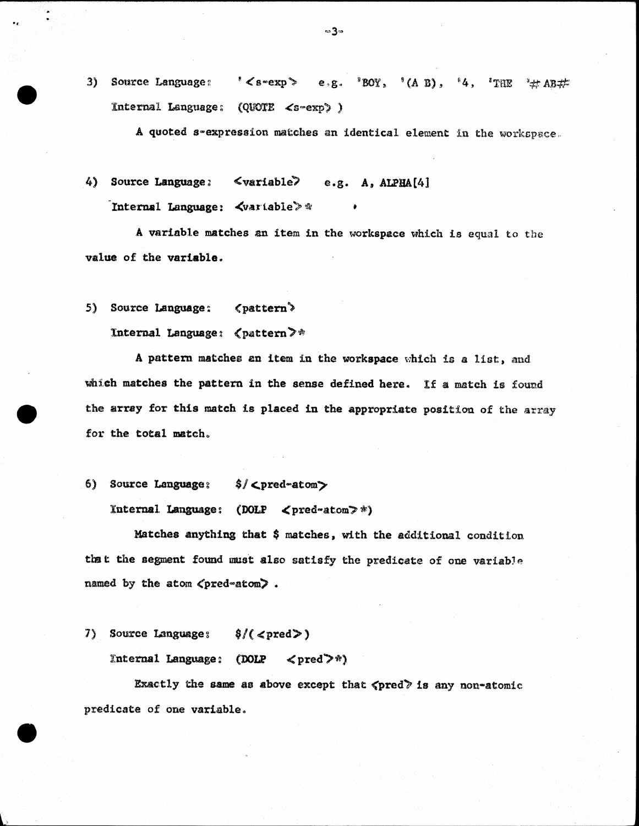$3)$  Source Language:  $\leq$  s  $\cdot$  exp  $\geq$  $"BOY, " (A B),$  $^{8}4,$  $e, g$ .  $^4$ THE  $\pm$  AB $\neq$ Internal Language:  $(QUOTE < s \sim exp)$ )

A quoted s-expression matches an identical element in the workspace.

4) Source Language: <variable> e.g. A, ALPHA[4] Internal Language:  $\forall$ variable $\gg$  \*

A variable matches an item in the workspace which is equal to the value of the variable.

5) Source Language: <br/>
<br/>
<br/>
<br/>
<br/>
<br/>
<br/>
<br/>
<br/>
<br/>
<br/>
<br/>
<br/>
<br/>
<br/>
<br/>
<br/>
<br/>
<br/>
<br/>
<br/>
<br/>
<br/>
<br/>
<br/>
<br/>
<t<br/>
<t<br/>
<t<br/>
<t<br/>
<t<br/>
<t<br/

0,

Internal Language:  $\langle$  pattern $\rangle^*$ 

A pattern matches an item in the workspace which is a list, and which matches the pattern in the sense defined here. If a match is found the array for this match is placed in the appropriate position of the array for the total match.

6) Source Language:  $\frac{1}{2}$  <pred-atom>

Internal Language: (DOLP  $\langle$  pred-atom $\rangle$  \*)

Matches anythiq that \$ matches. with the additional condition that the segment found must also satisfy the predicate of one variable named by the atom  $\zeta$ pred-atom).

7) Source Language;  $\frac{1}{2}$  (<pred>)

Internal Language:  $(DOLP \le pred^*)$ 

Exactly the same as above except that  $\langle$ pred $\rangle$  is any non-atomic predicate of one variable.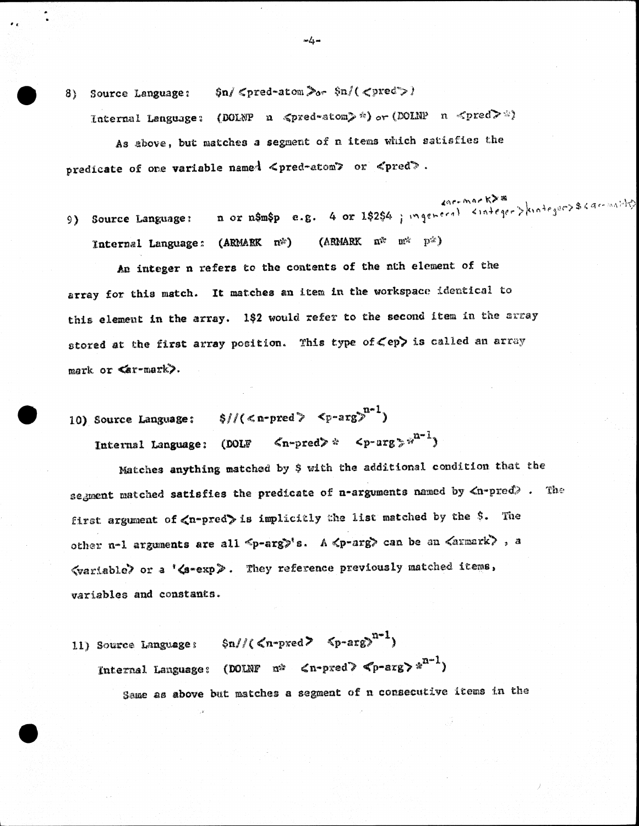Source Language:  $\sin/\cos 2\pi x$  and  $\sin/\cos 2x$ 8)

Internal Language: (DOLNP n  $\zeta$ pred-atom) \*) or (DOLNP n  $\zeta$ pred) \*)

As above, but matches a segment of n items which satisfies the predicate of one variable named <pred-atom> or <pred>.

saremark>\*<br>n or n\$m\$p e.g. 4 or 1\$2\$4 ; ingeneral <integer>kinteger>\$64cmilit 9) Source Language: (ARMARK n<sup>2</sup> m<sup>2</sup> p<sup>2</sup>) Internal Language: (ARMARK n<sup>\*</sup>)

An integer n refers to the contents of the nth element of the array for this match. It matches an item in the workspace identical to this element in the array. 192 would refer to the second item in the array stored at the first array position. This type of Cep> is called an array mark or  $\leq$ ar-mark).

10) Source Language:  $\frac{1}{2}$   $\frac{1}{2}$   $\frac{1}{2}$  $\langle n\text{-pred}\rangle$   $\iff$   $\langle p\text{-arg}\rangle$   $\mathbb{R}^{n-1}$ Internal Language: (DOLF

Matches anything matched by \$ with the additional condition that the segment matched satisfies the predicate of n-arguments named by  $\langle n$ -pred). The first argument of <n-pred> is implicitly the list matched by the \$. The other n-1 arguments are all <p-arg>'s. A <p-arg> can be an <armark>, a <wariable> or a '<s-exp>. They reference previously matched items, variables and constants.

 $\sin\left(\frac{1}{2}\right)$   $\sin\left(\frac{1}{2}\right)$ 11) Source Language: Internal Language: (DOLNF n<sup>2</sup>  $\langle n$ -pred)  $\langle p$ -arg)  $x^{n-1}$ ) Same as above but matches a segment of n consecutive items in the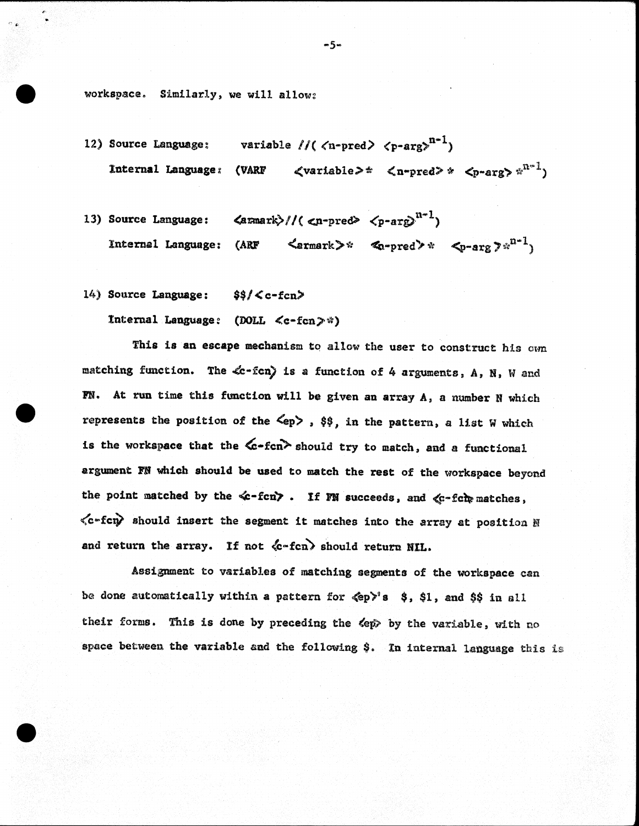workspace. Similarly, we will allow:

- variable //(  $\langle n\text{-pred} \rangle$   $\langle p\text{-arg} \rangle^{n-1}$ ) 12) Source Language: Internal Languase: (VAU <variable> '"
- $\langle \text{armark}\rangle$ //( $\langle \text{n-pred}\rangle$   $\langle \text{p-arg}\rangle^{n-1}$ ) 13) Source Language:  $\langle$ ermark>\*  $\langle x$ -pred>\*  $\langle p\text{-arg } p^{x^{n-1}} \rangle$ Internal Language: (ARF
- 14) Source Language:  $$f < c-fc$

Internal Laquage: (DOLL <c-fcn>\*)

This is an escape mechanism to allow the user to construct his own matching function. The  $\&$ -fcn) is a function of 4 arguments, A, N, W and IN. At run time this function will be given an array  $A$ , a number N which represents the position of the  $\langle ep \rangle$ ,  $\hat{\varphi}\hat{\varphi}$ , in the pattern, a list W which is the workspace that the  $\&$ -fcn $\&$  should try to match, and a functional argument FN which should be used to match the rest of the workspace beyond the point matched by the  $\ll$ -fcn $>$ . If FN succeeds, and  $\ll$ -fc $\ln$  matches,  $\langle c$ -fcn $\rangle$  should insert the segment it matches into the array at position N and return the array. If not  $\langle c \text{-fcn} \rangle$  should return NIL.

Assignment to variables of matching segments of the workspace can be done automatically within a pattern for  $\langle \epsilon p \rangle$ 's \$, \$1, and \$\$ in all their forms. This is done by preceding the  $\langle ep \rangle$  by the variable, with no space between the variable and the following \$. In internal language this is

 $-5-$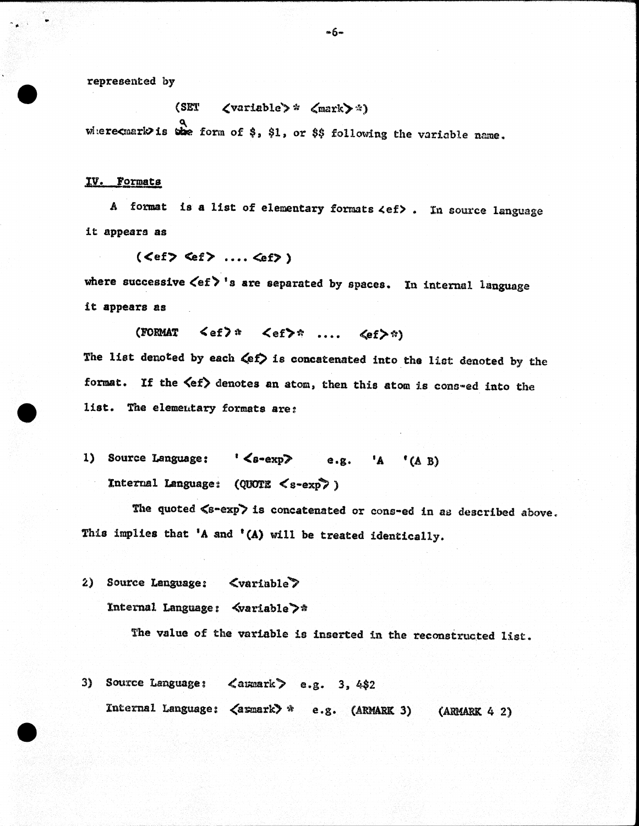represented by

(SET  $\langle \text{variable} \rangle * \langle \text{mark} \rangle$ .) where cuark is the form of \$, \$1, or \$\$ following the variable name.

## lll. Pomats

A format is a list of elementary formats  $\langle e f \rangle$ . In source language it appears as

 $(<\epsilon f> \leq f> \dots \leq f>)$ 

where successive  $\langle$ ef $\rangle$ 's are separated by spaces. In internal language it appears as

(FORMAT  $\leq e f$ )  $*$   $\leq e f$ )  $\ldots$   $\leq e f$ )

The list denoted by each  $\langle e f \rangle$  is concatenated into the list denoted by the format. If the  $\langle ef \rangle$  denotes an atom, then this atom is cons-ed into the list. The elemeutary formats are:

1) Source Language:  $\langle s\text{-exp}\rangle$  e.g. 'A '(A B) Internal Language:  $(QUOTE < s-exp$ )

The quoted  $\langle s-\exp\rangle$  is concatenated or cons-ed in as described above. This implies that 'A and '(A) will be treated identically.

2) Source Language: <variable Internal Language: <variable>\*

The value of the variable is inserted in the reconstructed list.

3) Source Language:  $\langle$  aumark  $\rangle$  e.g. 3, 4\$2 Internal Language:  $\langle$ armark $\rangle$  \* e.g. (ARMARK 3) (ARMARK 4 2)

 $-6-$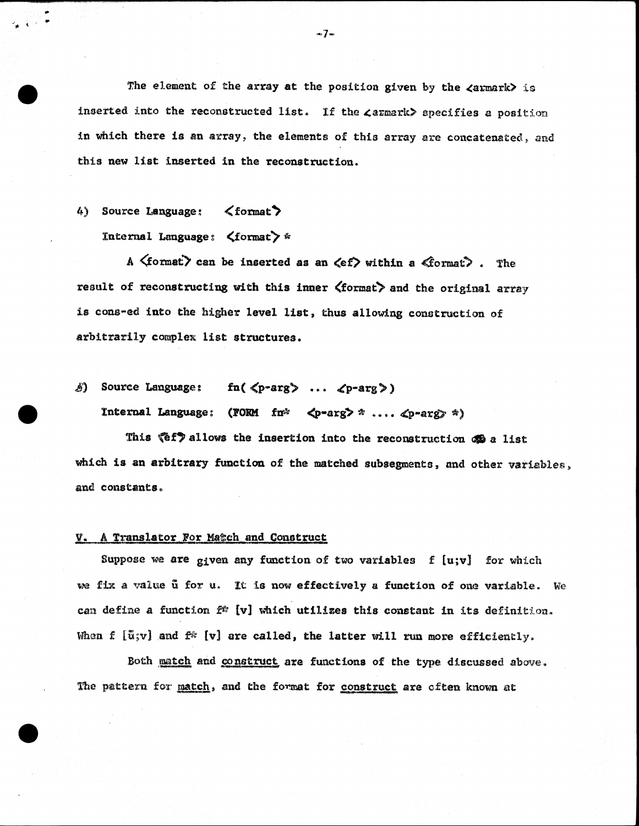The element of the array at the position given by the  $\langle$ armark $\rangle$  is inserted into the reconstructed list. If the  $\texttt{zarmark>}$  specifies a position in which there is an array, the elements of this array are concatenated, and this new list inserted in the reconstruction.

# 4) Source Language:  $\langle$  format $\rangle$

Internal Language:  $\langle$  format $\rangle$  \*

A  $\langle$  format $\rangle$  can be inserted as an  $\langle$ ef $\rangle$  within a  $\langle$  format $\rangle$ . The result of reconstructing with this inner  $\langle$  format $\rangle$  and the original array is cons-ed into the higher level list, thus allowing construction of arbitrarily complex list structures.

 $\delta$ ) Source Language: fn(  $\langle p\text{-arg}\rangle$  ...  $\langle p\text{-arg}\rangle$ )

Internal Language: (FORM fn\*  $\langle p\text{-arg} \rangle$  \* ....  $\langle p\text{-arg} \rangle$  \*)

This  $\mathscr{E}(f)$  allows the insertion into the reconstruction  $\mathscr{E}(a)$  list which is an arbitrary function of the matched subsegments, and other variables, and constants ..

## V. A Translator For Match and Construct

Suppose we are given any function of two variables  $f$  [u;v] for which we fix a value ut for u. It is now effectively a function of one variable. We can define a function  $f^*$  [v] which utilizes this constant in its definition. When f  $[\tilde{u};v]$  and  $f^*$  [v] are called, the latter will run more efficiently.

Both match and construct are functions of the type discussed above. The pattern for match, and the format for construct are often known at

 $\infty$   $\mathbb{Z}$  as